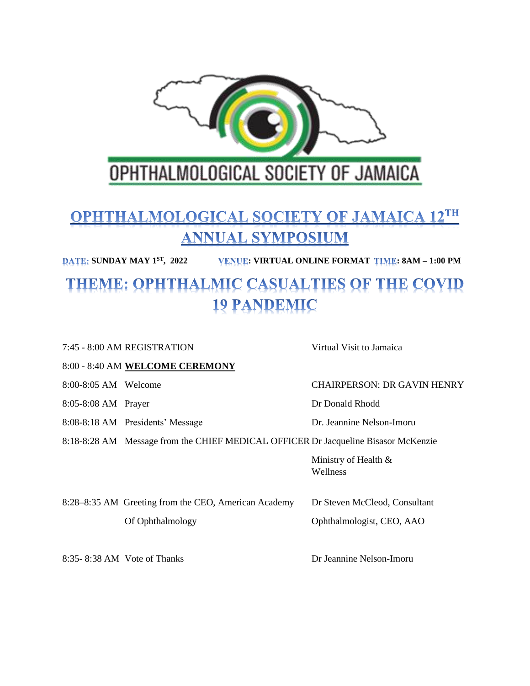

# **OPHTHALMOLOGICAL SOCIETY OF JAMAICA 12TH ANNUAL SYMPOSIUM**

**SUNDAY MAY 1 ST , 2022 : VIRTUAL ONLINE FORMAT : 8AM – 1:00 PM**

# THEME: OPHTHALMIC CASUALTIES OF THE COVID **19 PANDEMIC**

|                                                                                    | 7:45 - 8:00 AM REGISTRATION                          | Virtual Visit to Jamaica            |
|------------------------------------------------------------------------------------|------------------------------------------------------|-------------------------------------|
|                                                                                    | 8:00 - 8:40 AM WELCOME CEREMONY                      |                                     |
| 8:00-8:05 AM Welcome                                                               |                                                      | <b>CHAIRPERSON: DR GAVIN HENRY</b>  |
| 8:05-8:08 AM Prayer                                                                |                                                      | Dr Donald Rhodd                     |
|                                                                                    | 8:08-8:18 AM Presidents' Message                     | Dr. Jeannine Nelson-Imoru           |
| 8:18-8:28 AM Message from the CHIEF MEDICAL OFFICER Dr Jacqueline Bisasor McKenzie |                                                      |                                     |
|                                                                                    |                                                      | Ministry of Health $\&$<br>Wellness |
|                                                                                    | 8:28–8:35 AM Greeting from the CEO, American Academy | Dr Steven McCleod, Consultant       |
|                                                                                    | Of Ophthalmology                                     | Ophthalmologist, CEO, AAO           |
|                                                                                    | 8:35-8:38 AM Vote of Thanks                          | Dr Jeannine Nelson-Imoru            |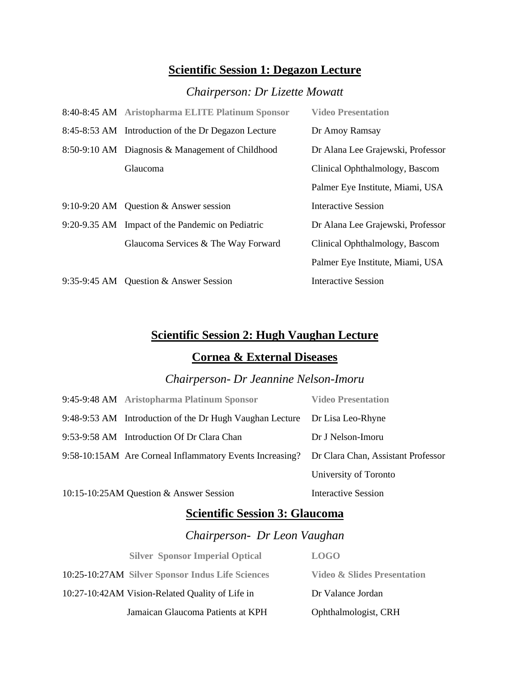#### **Scientific Session 1: Degazon Lecture**

## *Chairperson: Dr Lizette Mowatt*

| 8:40-8:45 AM Aristopharma ELITE Platinum Sponsor    | <b>Video Presentation</b>         |
|-----------------------------------------------------|-----------------------------------|
| 8:45-8:53 AM Introduction of the Dr Degazon Lecture | Dr Amoy Ramsay                    |
| 8:50-9:10 AM Diagnosis & Management of Childhood    | Dr Alana Lee Grajewski, Professor |
| Glaucoma                                            | Clinical Ophthalmology, Bascom    |
|                                                     | Palmer Eye Institute, Miami, USA  |
| 9:10-9:20 AM Question & Answer session              | <b>Interactive Session</b>        |
| 9:20-9.35 AM Impact of the Pandemic on Pediatric    | Dr Alana Lee Grajewski, Professor |
| Glaucoma Services & The Way Forward                 | Clinical Ophthalmology, Bascom    |
|                                                     | Palmer Eye Institute, Miami, USA  |
| 9:35-9:45 AM Question & Answer Session              | Interactive Session               |

## **Scientific Session 2: Hugh Vaughan Lecture**

#### **Cornea & External Diseases**

#### *Chairperson- Dr Jeannine Nelson-Imoru*

| 9:45-9:48 AM Aristopharma Platinum Sponsor               | <b>Video Presentation</b>          |
|----------------------------------------------------------|------------------------------------|
| 9:48-9:53 AM Introduction of the Dr Hugh Vaughan Lecture | Dr Lisa Leo-Rhyne                  |
| 9:53-9:58 AM Introduction Of Dr Clara Chan               | Dr J Nelson-Imoru                  |
| 9:58-10:15AM Are Corneal Inflammatory Events Increasing? | Dr Clara Chan, Assistant Professor |
|                                                          | University of Toronto              |
| 10:15-10:25AM Question & Answer Session                  | <b>Interactive Session</b>         |

#### **Scientific Session 3: Glaucoma**

## *Chairperson- Dr Leon Vaughan*

| <b>Silver Sponsor Imperial Optical</b>           | <b>LOGO</b>                            |
|--------------------------------------------------|----------------------------------------|
| 10:25-10:27AM Silver Sponsor Indus Life Sciences | <b>Video &amp; Slides Presentation</b> |
| 10:27-10:42AM Vision-Related Quality of Life in  | Dr Valance Jordan                      |
| Jamaican Glaucoma Patients at KPH                | Ophthalmologist, CRH                   |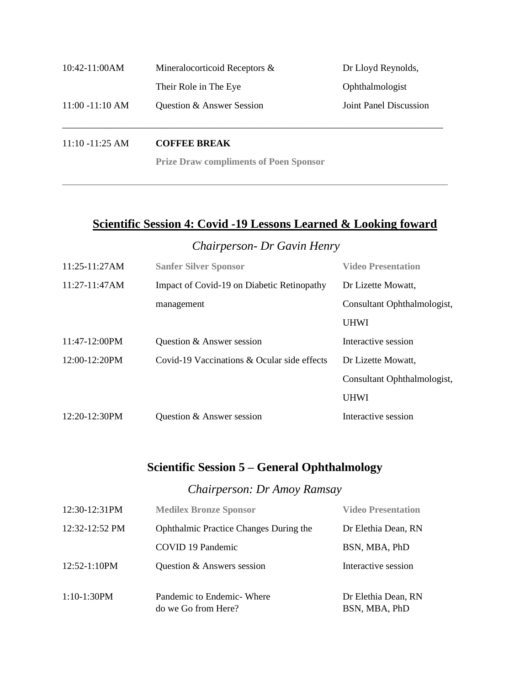| $10:42-11:00AM$    | Mineralocorticoid Receptors & | Dr Lloyd Reynolds,     |
|--------------------|-------------------------------|------------------------|
|                    | Their Role in The Eye         | Ophthalmologist        |
| $11:00 - 11:10 AM$ | Question & Answer Session     | Joint Panel Discussion |

11:10 -11:25 AM **COFFEE BREAK** 

**Prize Draw compliments of Poen Sponsor**

**\_\_\_\_\_\_\_\_\_\_\_\_\_\_\_\_\_\_\_\_\_\_\_\_\_\_\_\_\_\_\_\_\_\_\_\_\_\_\_\_\_\_\_\_\_\_\_\_\_\_\_\_\_\_\_\_\_\_\_\_\_\_\_\_\_\_\_\_\_\_\_\_\_\_\_\_\_\_\_\_\_**

### **Scientific Session 4: Covid -19 Lessons Learned & Looking foward**

*Chairperson- Dr Gavin Henry*

| 11:25-11:27AM   | <b>Sanfer Silver Sponsor</b>                | <b>Video Presentation</b>   |
|-----------------|---------------------------------------------|-----------------------------|
| $11:27-11:47AM$ | Impact of Covid-19 on Diabetic Retinopathy  | Dr Lizette Mowatt,          |
|                 | management                                  | Consultant Ophthalmologist, |
|                 |                                             | <b>UHWI</b>                 |
| $11:47-12:00PM$ | Question & Answer session                   | Interactive session         |
| 12:00-12:20PM   | Covid-19 Vaccinations & Ocular side effects | Dr Lizette Mowatt,          |
|                 |                                             | Consultant Ophthalmologist, |
|                 |                                             | <b>UHWI</b>                 |
| 12:20-12:30PM   | Question & Answer session                   | Interactive session         |

# **Scientific Session 5 – General Ophthalmology**

#### *Chairperson: Dr Amoy Ramsay*

| 12:30-12:31PM            | <b>Medilex Bronze Sponsor</b>                    | <b>Video Presentation</b>            |
|--------------------------|--------------------------------------------------|--------------------------------------|
| $12:32-12:52 \text{ PM}$ | <b>Ophthalmic Practice Changes During the</b>    | Dr Elethia Dean, RN                  |
|                          | COVID 19 Pandemic                                | BSN, MBA, PhD                        |
| $12:52 - 1:10 PM$        | Question & Answers session                       | Interactive session                  |
| $1:10-1:30PM$            | Pandemic to Endemic Where<br>do we Go from Here? | Dr Elethia Dean, RN<br>BSN, MBA, PhD |